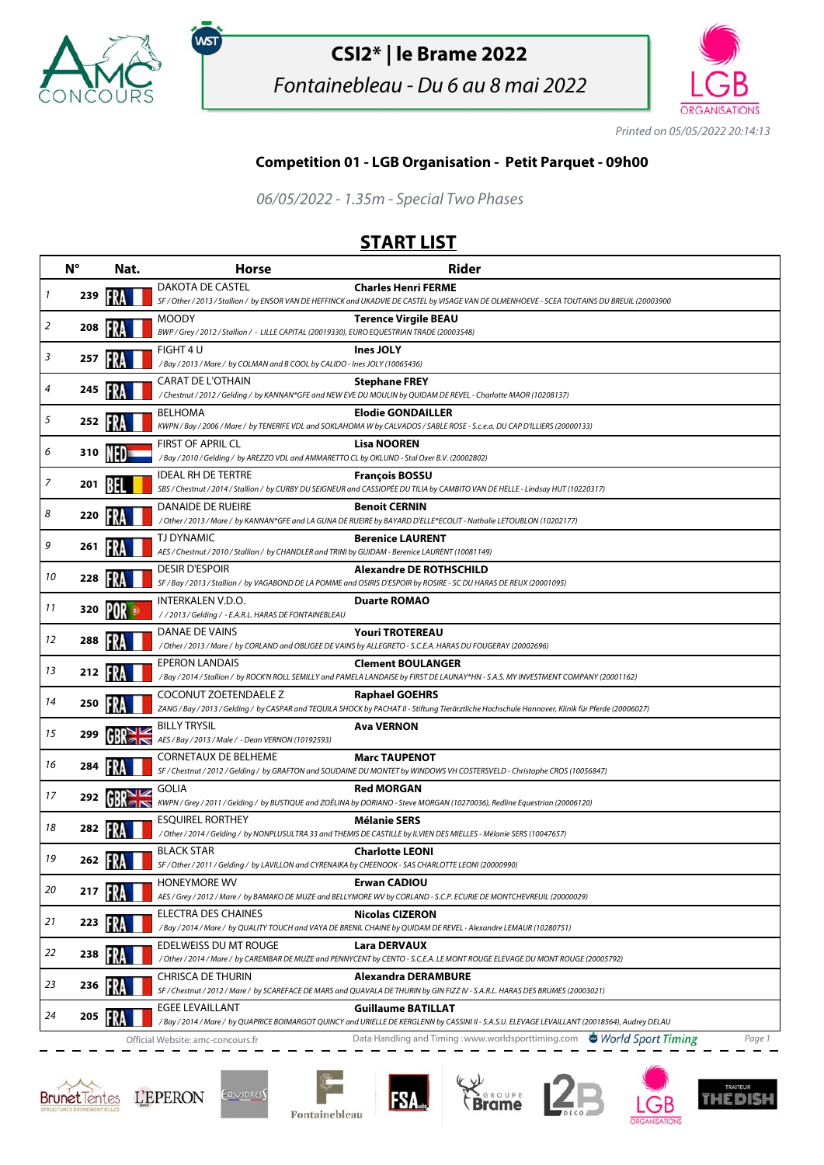

.<br>WST

## **CSI2\* | le Brame 2022**

Fontainebleau - Du 6 au 8 mai 2022



Printed on 05/05/2022 20:14:13

## **Competition 01 - LGB Organisation - Petit Parquet - 09h00**

06/05/2022 - 1.35m - Special Two Phases

## **START LIST**

|    | $N^{\circ}$ | Nat. | <b>Horse</b>                                                                                                              | <b>Rider</b>                                                                                                                                                                                                                       |
|----|-------------|------|---------------------------------------------------------------------------------------------------------------------------|------------------------------------------------------------------------------------------------------------------------------------------------------------------------------------------------------------------------------------|
| 1  | 239         |      | DAKOTA DE CASTEL                                                                                                          | <b>Charles Henri FERME</b><br>SF / Other / 2013 / Stallion / by ENSOR VAN DE HEFFINCK and UKADVIE DE CASTEL by VISAGE VAN DE OLMENHOEVE - SCEA TOUTAINS DU BREUIL (20003900                                                        |
| 2  | 208         |      | <b>MOODY</b><br>BWP / Grey / 2012 / Stallion / - LILLE CAPITAL (20019330), EURO EQUESTRIAN TRADE (20003548)               | <b>Terence Virgile BEAU</b>                                                                                                                                                                                                        |
| 3  | 257         |      | FIGHT 4 U<br>/Bay / 2013 / Mare / by COLMAN and B COOL by CALIDO - Ines JOLY (10065436)                                   | Ines JOLY                                                                                                                                                                                                                          |
| 4  | 245         |      | <b>CARAT DE L'OTHAIN</b>                                                                                                  | <b>Stephane FREY</b><br>/ Chestnut / 2012 / Gelding / by KANNAN*GFE and NEW EVE DU MOULIN by QUIDAM DE REVEL - Charlotte MAOR (10208137)                                                                                           |
| 5  | 252 14      |      | <b>BELHOMA</b>                                                                                                            | <b>Elodie GONDAILLER</b><br>KWPN / Bay / 2006 / Mare / by TENERIFE VDL and SOKLAHOMA W by CALVADOS / SABLE ROSE - S.c.e.a. DU CAP D'ILLIERS (20000133)                                                                             |
| 6  | 310 WF      |      | <b>FIRST OF APRIL CL</b><br>/Bay / 2010 / Gelding / by AREZZO VDL and AMMARETTO CL by OKLUND - Stal Oxer B.V. (20002802)  | <b>Lisa NOOREN</b>                                                                                                                                                                                                                 |
| 7  | 201         |      | <b>IDEAL RH DE TERTRE</b>                                                                                                 | <b>François BOSSU</b><br>SBS / Chestnut / 2014 / Stallion / by CURBY DU SEIGNEUR and CASSIOPÉE DU TILIA by CAMBITO VAN DE HELLE - Lindsay HUT (10220317)                                                                           |
| 8  | 220         |      | DANAIDE DE RUEIRE                                                                                                         | <b>Benoit CERNIN</b><br>/Other/2013/Mare/ by KANNAN*GFE and LA GUNA DE RUEIRE by BAYARD D'ELLE*ECOLIT - Nathalie LETOUBLON (10202177)                                                                                              |
| 9  | 261         |      | TJ DYNAMIC<br>AES / Chestnut / 2010 / Stallion / by CHANDLER and TRINI by GUIDAM - Berenice LAURENT (10081149)            | <b>Berenice LAURENT</b>                                                                                                                                                                                                            |
| 10 | 228         |      | <b>DESIR D'ESPOIR</b>                                                                                                     | Alexandre DE ROTHSCHILD<br>SF / Bay / 2013 / Stallion / by VAGABOND DE LA POMME and OSIRIS D'ESPOIR by ROSIRE - SC DU HARAS DE REUX (20001095)                                                                                     |
| 11 | 320         |      | INTERKALEN V.D.O.<br>//2013/Gelding/-E.A.R.L. HARAS DE FONTAINEBLEAU                                                      | <b>Duarte ROMAO</b>                                                                                                                                                                                                                |
| 12 | 288         |      | DANAE DE VAINS                                                                                                            | <b>Youri TROTEREAU</b><br>/ Other / 2013 / Mare / by CORLAND and OBLIGEE DE VAINS by ALLEGRETO - S.C.E.A. HARAS DU FOUGERAY (20002696)                                                                                             |
| 13 | 212         |      | <b>EPERON LANDAIS</b>                                                                                                     | <b>Clement BOULANGER</b><br>/Bay / 2014 / Stallion / by ROCK'N ROLL SEMILLY and PAMELA LANDAISE by FIRST DE LAUNAY*HN - S.A.S. MY INVESTMENT COMPANY (20001162)                                                                    |
| 14 | 250         |      | COCONUT ZOETENDAELE Z                                                                                                     | <b>Raphael GOEHRS</b><br>ZANG / Bay / 2013 / Gelding / by CASPAR and TEQUILA SHOCK by PACHAT II - Stiftung Tierärztliche Hochschule Hannover, Klinik für Pferde (20006027)                                                         |
| 15 | 299         |      | <b>BILLY TRYSIL</b><br>AES / Bay / 2013 / Male / - Dean VERNON (10192593)                                                 | <b>Ava VERNON</b>                                                                                                                                                                                                                  |
| 16 | 284         |      | <b>CORNETAUX DE BELHEME</b>                                                                                               | <b>Marc TAUPENOT</b><br>SF / Chestnut / 2012 / Gelding / by GRAFTON and SOUDAINE DU MONTET by WINDOWS VH COSTERSVELD - Christophe CROS (10056847)                                                                                  |
| 17 | 292         |      | <b>GOLIA</b>                                                                                                              | <b>Red MORGAN</b><br>KWPN / Grey / 2011 / Gelding / by BUSTIQUE and ZOËLINA by DORIANO - Steve MORGAN (10270036), Redline Equestrian (20006120)                                                                                    |
| 18 | 282         |      | <b>ESOUIREL RORTHEY</b>                                                                                                   | <b>Mélanie SERS</b><br>/ Other / 2014 / Gelding / by NONPLUSULTRA 33 and THEMIS DE CASTILLE by ILVIEN DES MIELLES - Mélanie SERS (10047657)                                                                                        |
| 19 | 262         |      | <b>BLACK STAR</b><br>SF / Other / 2011 / Gelding / by LAVILLON and CYRENAIKA by CHEENOOK - SAS CHARLOTTE LEONI (20000990) | <b>Charlotte LEONI</b>                                                                                                                                                                                                             |
| 20 | 217         |      | <b>HONEYMORE WV</b>                                                                                                       | <b>Erwan CADIOU</b><br>AES / Grey / 2012 / Mare / by BAMAKO DE MUZE and BELLYMORE WV by CORLAND - S.C.P. ECURIE DE MONTCHEVREUIL (20000029)                                                                                        |
| 21 | 223         |      | ELECTRA DES CHAINES                                                                                                       | <b>Nicolas CIZERON</b><br>/Bay / 2014 / Mare / by QUALITY TOUCH and VAYA DE BRENIL CHAINE by QUIDAM DE REVEL - Alexandre LEMAUR (10280751)                                                                                         |
| 22 | 238         |      | EDELWEISS DU MT ROUGE                                                                                                     | <b>Lara DERVAUX</b><br>/ Other / 2014 / Mare / by CAREMBAR DE MUZE and PENNYCENT by CENTO - S.C.E.A. LE MONT ROUGE ELEVAGE DU MONT ROUGE (20005792)                                                                                |
| 23 | 236         |      | CHRISCA DE THURIN                                                                                                         | <b>Alexandra DERAMBURE</b><br>SF / Chestnut / 2012 / Mare / by SCAREFACE DE MARS and QUAVALA DE THURIN by GIN FIZZ IV - S.A.R.L. HARAS DES BRUMES (20003021)                                                                       |
| 24 | 205         |      | <b>EGEE LEVAILLANT</b>                                                                                                    | <b>Guillaume BATILLAT</b>                                                                                                                                                                                                          |
|    |             |      | Official Website: amc-concours.fr                                                                                         | / Bay / 2014 / Mare / by QUAPRICE BOIMARGOT QUINCY and URIELLE DE KERGLENN by CASSINI II - S.A.S.U. ELEVAGE LEVAILLANT (20018564), Audrey DELAU<br>Data Handling and Timing: www.worldsporttiming.com World Sport Timing<br>Page 1 |







**FSA**